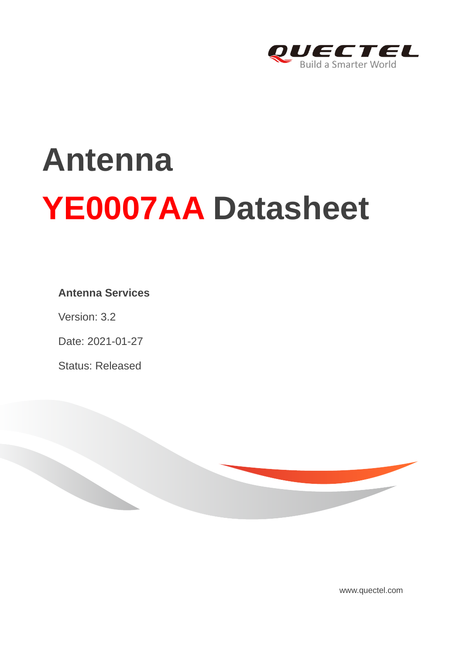

# **Antenna YE0007AA Datasheet**

#### **Antenna Services**

Version: 3.2

Date: 2021-01-27

Status: Released



[www.quectel.com](http://www.quectel.com/)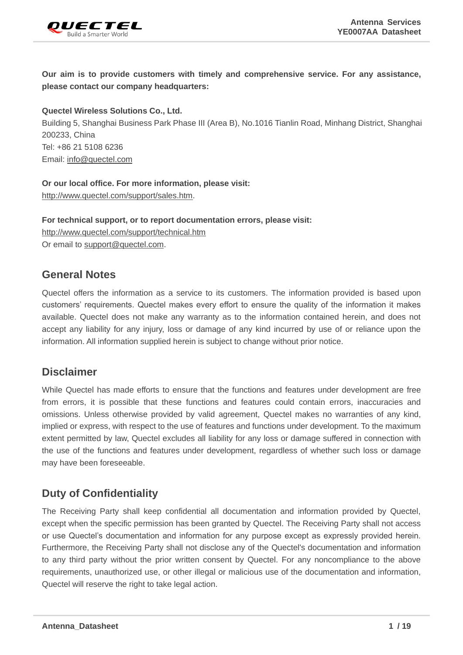

**Our aim is to provide customers with timely and comprehensive service. For any assistance, please contact our company headquarters:**

**Quectel Wireless Solutions Co., Ltd.** 

Building 5, Shanghai Business Park Phase III (Area B), No.1016 Tianlin Road, Minhang District, Shanghai 200233, China Tel: +86 21 5108 6236 Email: [info@quectel.com](mailto:info@quectel.com)

**Or our local office. For more information, please visit:** [http://www.quectel.com/support/sales.htm.](http://www.quectel.com/support/sales.htm)

**For technical support, or to report documentation errors, please visit:**  <http://www.quectel.com/support/technical.htm> Or email to [support@quectel.com.](mailto:support@quectel.com)

#### **General Notes**

Quectel offers the information as a service to its customers. The information provided is based upon customers' requirements. Quectel makes every effort to ensure the quality of the information it makes available. Quectel does not make any warranty as to the information contained herein, and does not accept any liability for any injury, loss or damage of any kind incurred by use of or reliance upon the information. All information supplied herein is subject to change without prior notice.

#### **Disclaimer**

While Quectel has made efforts to ensure that the functions and features under development are free from errors, it is possible that these functions and features could contain errors, inaccuracies and omissions. Unless otherwise provided by valid agreement, Quectel makes no warranties of any kind, implied or express, with respect to the use of features and functions under development. To the maximum extent permitted by law, Quectel excludes all liability for any loss or damage suffered in connection with the use of the functions and features under development, regardless of whether such loss or damage may have been foreseeable.

#### **Duty of Confidentiality**

The Receiving Party shall keep confidential all documentation and information provided by Quectel, except when the specific permission has been granted by Quectel. The Receiving Party shall not access or use Quectel's documentation and information for any purpose except as expressly provided herein. Furthermore, the Receiving Party shall not disclose any of the Quectel's documentation and information to any third party without the prior written consent by Quectel. For any noncompliance to the above requirements, unauthorized use, or other illegal or malicious use of the documentation and information, Quectel will reserve the right to take legal action.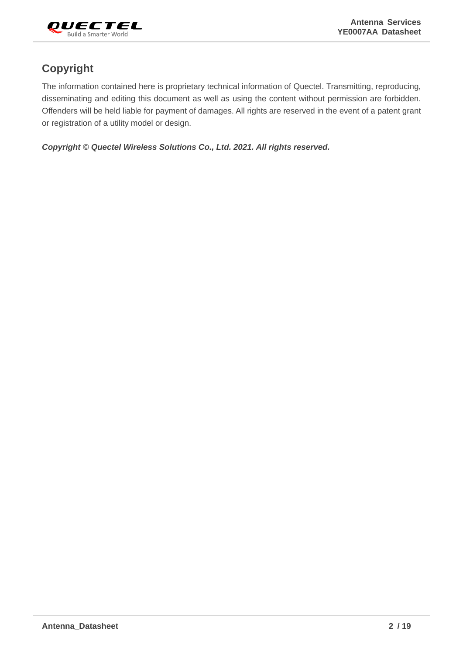

# **Copyright**

The information contained here is proprietary technical information of Quectel. Transmitting, reproducing, disseminating and editing this document as well as using the content without permission are forbidden. Offenders will be held liable for payment of damages. All rights are reserved in the event of a patent grant or registration of a utility model or design.

*Copyright © Quectel Wireless Solutions Co., Ltd. 2021. All rights reserved.*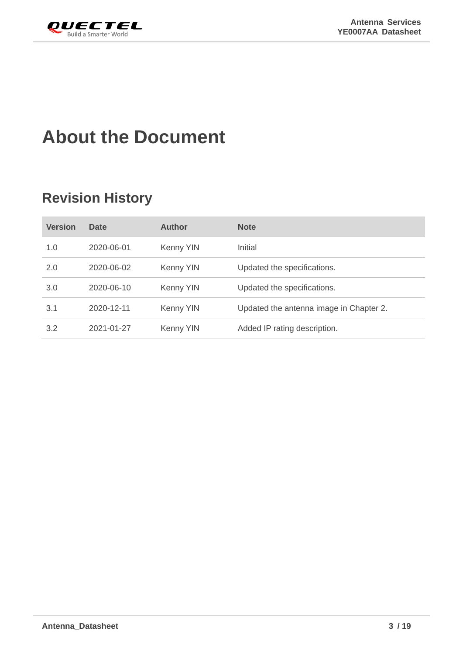<span id="page-3-0"></span>

# **About the Document**

# **Revision History**

| <b>Version</b> | <b>Date</b> | <b>Author</b> | <b>Note</b>                             |
|----------------|-------------|---------------|-----------------------------------------|
| 1.0            | 2020-06-01  | Kenny YIN     | Initial                                 |
| 2.0            | 2020-06-02  | Kenny YIN     | Updated the specifications.             |
| 3.0            | 2020-06-10  | Kenny YIN     | Updated the specifications.             |
| 3.1            | 2020-12-11  | Kenny YIN     | Updated the antenna image in Chapter 2. |
| 3.2            | 2021-01-27  | Kenny YIN     | Added IP rating description.            |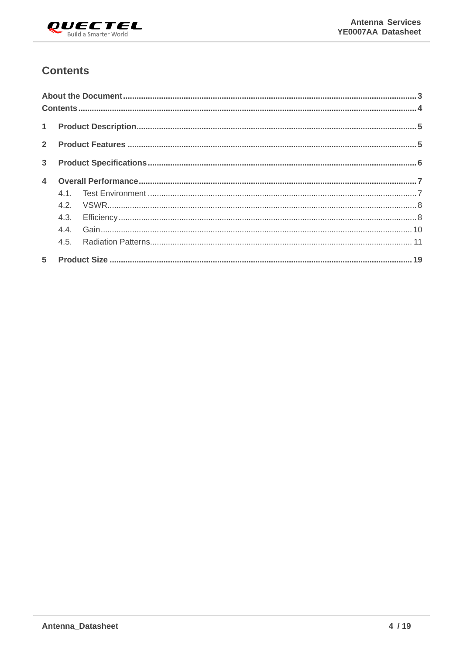

#### <span id="page-4-0"></span>**Contents**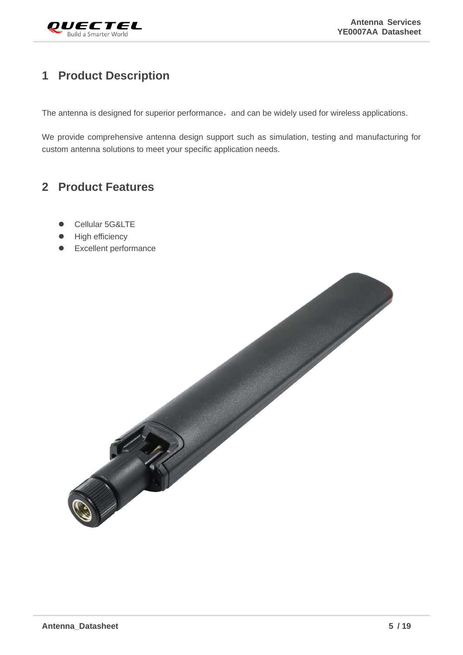

# <span id="page-5-0"></span>**1 Product Description**

The antenna is designed for superior performance, and can be widely used for wireless applications.

We provide comprehensive antenna design support such as simulation, testing and manufacturing for custom antenna solutions to meet your specific application needs.

# <span id="page-5-1"></span>**2 Product Features**

- Cellular 5G&LTE
- High efficiency
- ⚫ Excellent performance

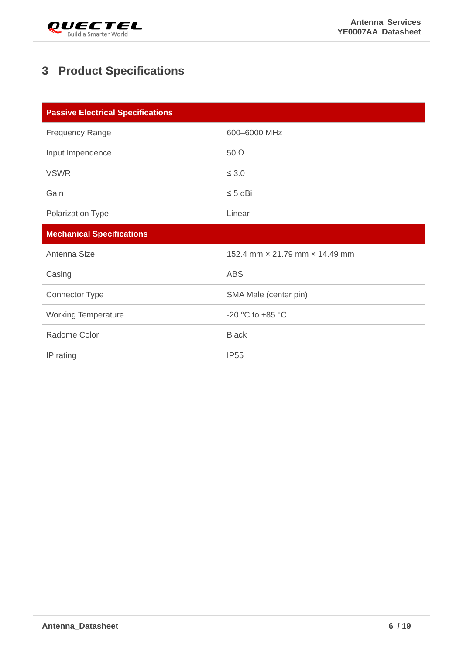

# <span id="page-6-0"></span>**3 Product Specifications**

| <b>Passive Electrical Specifications</b> |                                |
|------------------------------------------|--------------------------------|
| <b>Frequency Range</b>                   | 600-6000 MHz                   |
| Input Impendence                         | $50 \Omega$                    |
| <b>VSWR</b>                              | $\leq 3.0$                     |
| Gain                                     | $\leq 5$ dBi                   |
| Polarization Type                        | Linear                         |
| <b>Mechanical Specifications</b>         |                                |
|                                          |                                |
| Antenna Size                             | 152.4 mm × 21.79 mm × 14.49 mm |
| Casing                                   | <b>ABS</b>                     |
| <b>Connector Type</b>                    | SMA Male (center pin)          |
| <b>Working Temperature</b>               | -20 °C to +85 °C               |
| Radome Color                             | <b>Black</b>                   |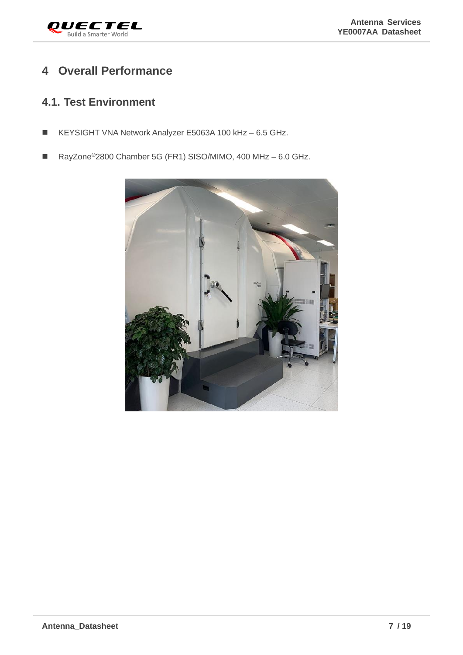

### <span id="page-7-0"></span>**4 Overall Performance**

#### <span id="page-7-1"></span>**4.1. Test Environment**

- KEYSIGHT VNA Network Analyzer E5063A 100 kHz 6.5 GHz.
- RayZone<sup>®</sup>2800 Chamber 5G (FR1) SISO/MIMO, 400 MHz 6.0 GHz.

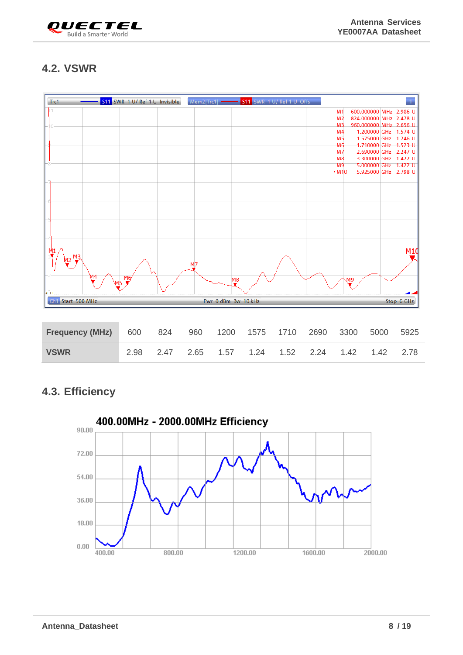

# <span id="page-8-0"></span>**4.2. VSWR**



#### <span id="page-8-1"></span>**4.3. Efficiency**

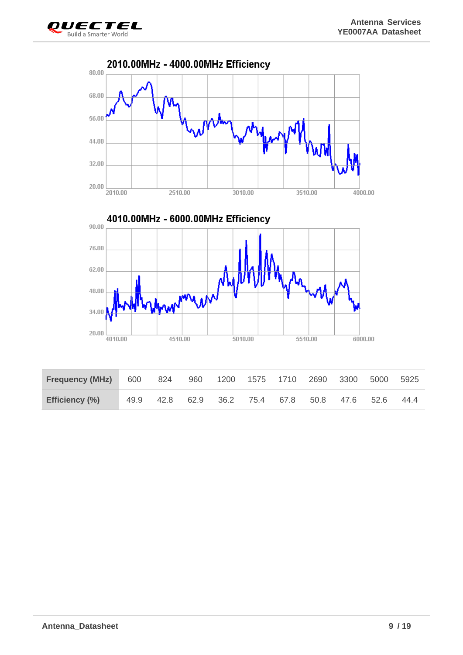

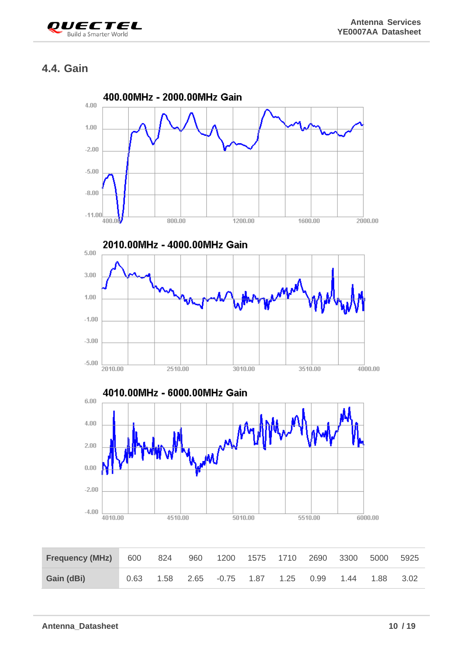

## <span id="page-10-0"></span>**4.4. Gain**

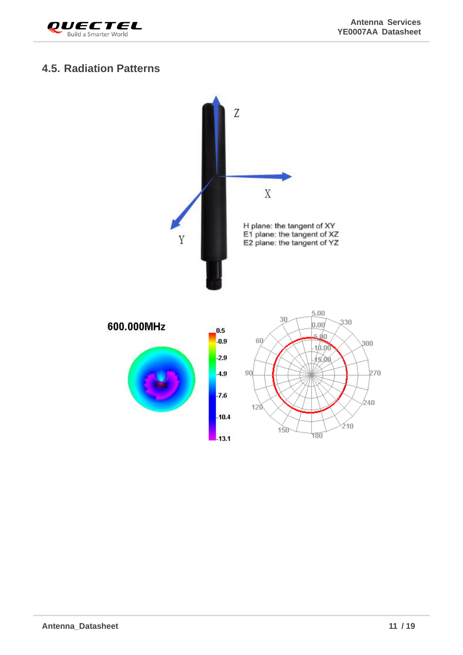



#### <span id="page-11-0"></span>**4.5. Radiation Patterns**

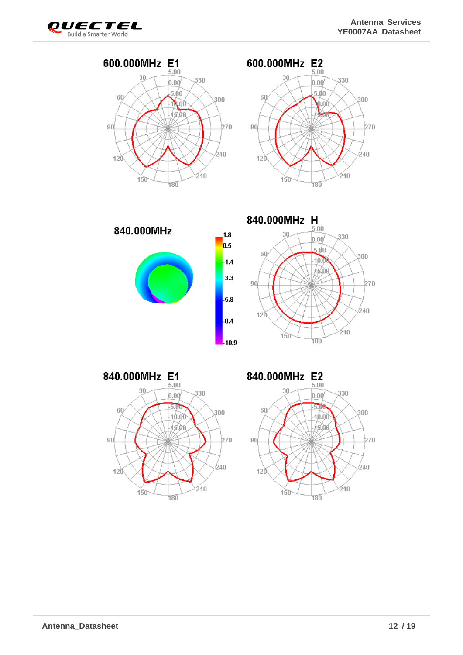





840.000MHz





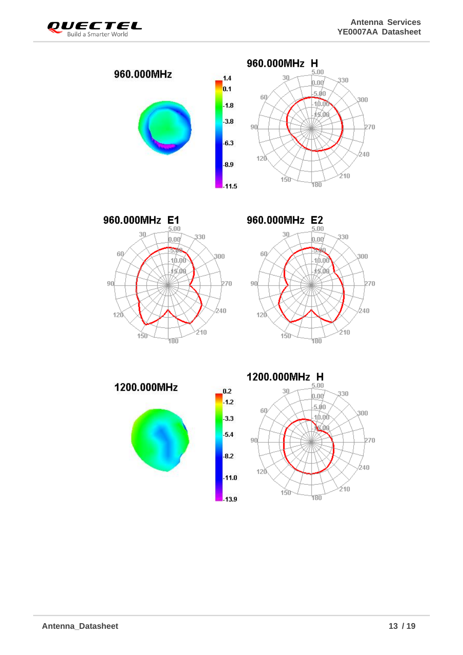









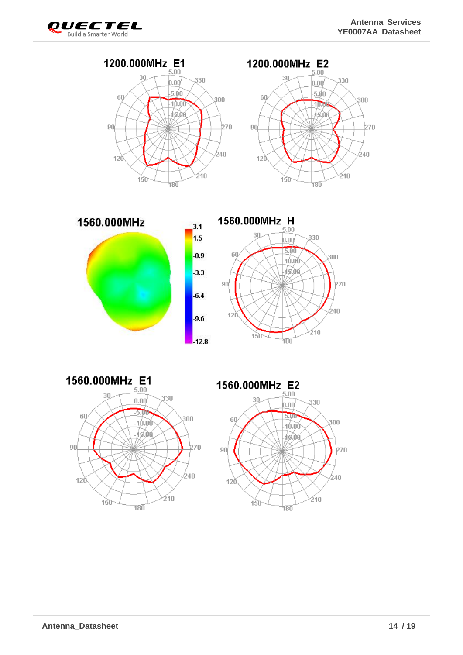<u>b70</u>











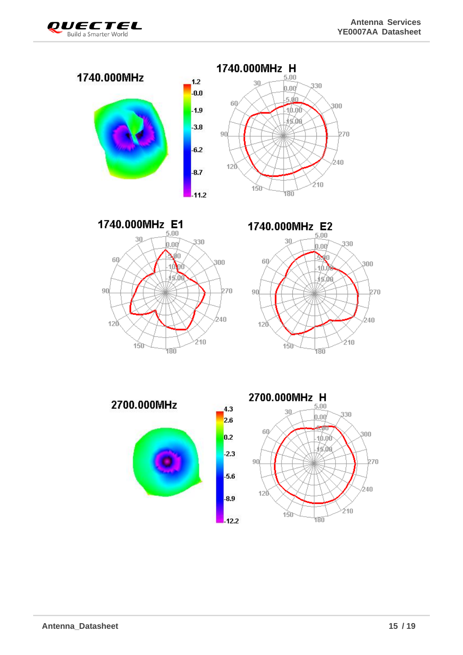



1740.000MHz E1  $5.00$ 





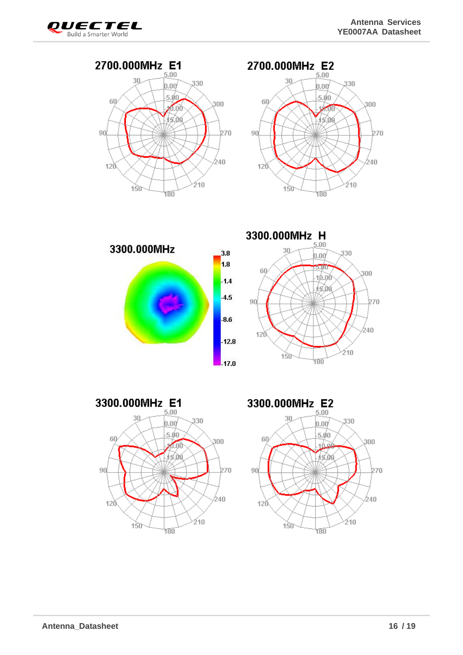











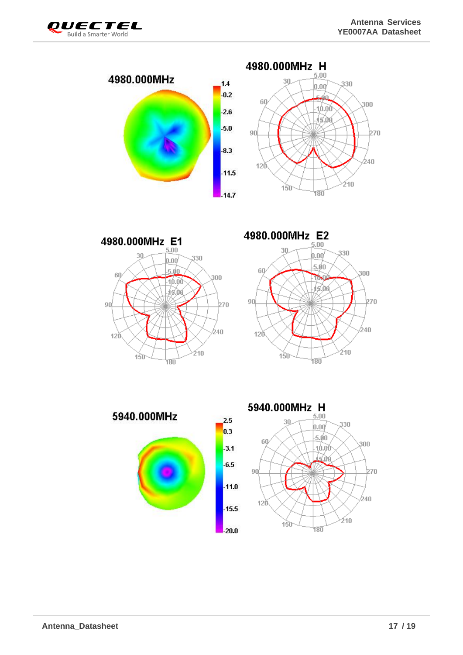







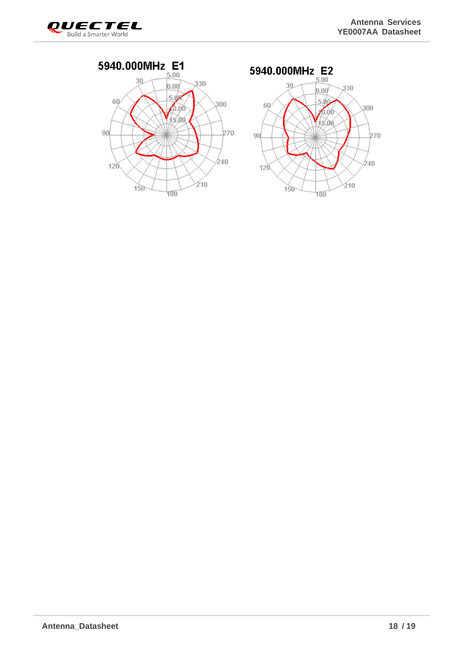